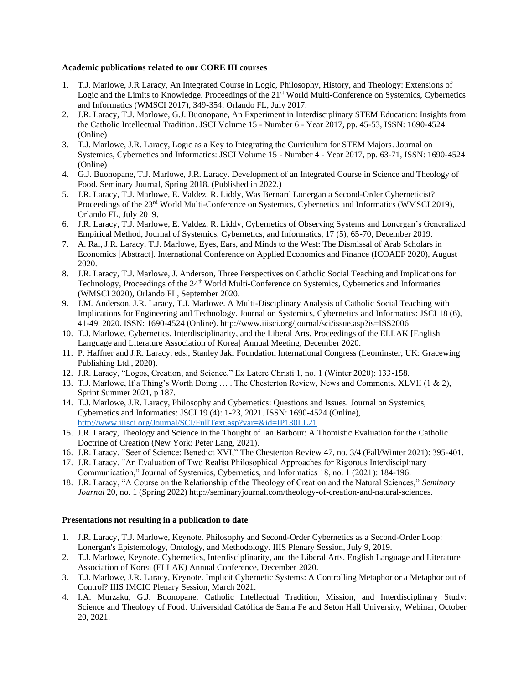## **Academic publications related to our CORE III courses**

- 1. T.J. Marlowe, J.R Laracy, An Integrated Course in Logic, Philosophy, History, and Theology: Extensions of Logic and the Limits to Knowledge. Proceedings of the 21<sup>st</sup> World Multi-Conference on Systemics, Cybernetics and Informatics (WMSCI 2017), 349-354, Orlando FL, July 2017.
- 2. J.R. Laracy, T.J. Marlowe, G.J. Buonopane, An Experiment in Interdisciplinary STEM Education: Insights from the Catholic Intellectual Tradition. JSCI Volume 15 - Number 6 - Year 2017, pp. 45-53, ISSN: 1690-4524 (Online)
- 3. T.J. Marlowe, J.R. Laracy, Logic as a Key to Integrating the Curriculum for STEM Majors. Journal on Systemics, Cybernetics and Informatics: JSCI Volume 15 - Number 4 - Year 2017, pp. 63-71, ISSN: 1690-4524 (Online)
- 4. G.J. Buonopane, T.J. Marlowe, J.R. Laracy. Development of an Integrated Course in Science and Theology of Food. Seminary Journal, Spring 2018. (Published in 2022.)
- 5. J.R. Laracy, T.J. Marlowe, E. Valdez, R. Liddy, Was Bernard Lonergan a Second-Order Cyberneticist? Proceedings of the 23<sup>rd</sup> World Multi-Conference on Systemics, Cybernetics and Informatics (WMSCI 2019), Orlando FL, July 2019.
- 6. J.R. Laracy, T.J. Marlowe, E. Valdez, R. Liddy, Cybernetics of Observing Systems and Lonergan's Generalized Empirical Method, Journal of Systemics, Cybernetics, and Informatics, 17 (5), 65-70, December 2019.
- 7. A. Rai, J.R. Laracy, T.J. Marlowe, Eyes, Ears, and Minds to the West: The Dismissal of Arab Scholars in Economics [Abstract]. International Conference on Applied Economics and Finance (ICOAEF 2020), August 2020.
- 8. J.R. Laracy, T.J. Marlowe, J. Anderson, Three Perspectives on Catholic Social Teaching and Implications for Technology, Proceedings of the 24th World Multi-Conference on Systemics, Cybernetics and Informatics (WMSCI 2020), Orlando FL, September 2020.
- 9. J.M. Anderson, J.R. Laracy, T.J. Marlowe. A Multi-Disciplinary Analysis of Catholic Social Teaching with Implications for Engineering and Technology. Journal on Systemics, Cybernetics and Informatics: JSCI 18 (6), 41-49, 2020. ISSN: 1690-4524 (Online).<http://www.iiisci.org/journal/sci/issue.asp?is=ISS2006>
- 10. T.J. Marlowe, Cybernetics, Interdisciplinarity, and the Liberal Arts. Proceedings of the ELLAK [English Language and Literature Association of Korea] Annual Meeting, December 2020.
- 11. P. Haffner and J.R. Laracy, eds., Stanley Jaki Foundation International Congress (Leominster, UK: Gracewing Publishing Ltd., 2020).
- 12. J.R. Laracy, "Logos, Creation, and Science," Ex Latere Christi 1, no. 1 (Winter 2020): 133-158.
- 13. T.J. Marlowe, If a Thing's Worth Doing … . The Chesterton Review, News and Comments, XLVII (1 & 2), Sprint Summer 2021, p 187.
- 14. T.J. Marlowe, J.R. Laracy, Philosophy and Cybernetics: Questions and Issues. Journal on Systemics, Cybernetics and Informatics: JSCI 19 (4): 1-23, 2021. ISSN: 1690-4524 (Online), <http://www.iiisci.org/Journal/SCI/FullText.asp?var=&id=IP130LL21>
- 15. J.R. Laracy, Theology and Science in the Thought of Ian Barbour: A Thomistic Evaluation for the Catholic Doctrine of Creation (New York: Peter Lang, 2021).
- 16. J.R. Laracy, "Seer of Science: Benedict XVI," The Chesterton Review 47, no. 3/4 (Fall/Winter 2021): 395-401.
- 17. J.R. Laracy, "An Evaluation of Two Realist Philosophical Approaches for Rigorous Interdisciplinary Communication," Journal of Systemics, Cybernetics, and Informatics 18, no. 1 (2021): 184-196.
- 18. J.R. Laracy, "A Course on the Relationship of the Theology of Creation and the Natural Sciences," *Seminary Journal* 20, no. 1 (Spring 2022) http://seminaryjournal.com/theology-of-creation-and-natural-sciences.

## **Presentations not resulting in a publication to date**

- 1. J.R. Laracy, T.J. Marlowe, Keynote. Philosophy and Second-Order Cybernetics as a Second-Order Loop: Lonergan's Epistemology, Ontology, and Methodology. IIIS Plenary Session, July 9, 2019.
- 2. T.J. Marlowe, Keynote. Cybernetics, Interdisciplinarity, and the Liberal Arts. English Language and Literature Association of Korea (ELLAK) Annual Conference, December 2020.
- 3. T.J. Marlowe, J.R. Laracy, Keynote. Implicit Cybernetic Systems: A Controlling Metaphor or a Metaphor out of Control? IIIS IMCIC Plenary Session, March 2021.
- 4. I.A. Murzaku, G.J. Buonopane. Catholic Intellectual Tradition, Mission, and Interdisciplinary Study: Science and Theology of Food. Universidad Católica de Santa Fe and Seton Hall University, Webinar, October 20, 2021.